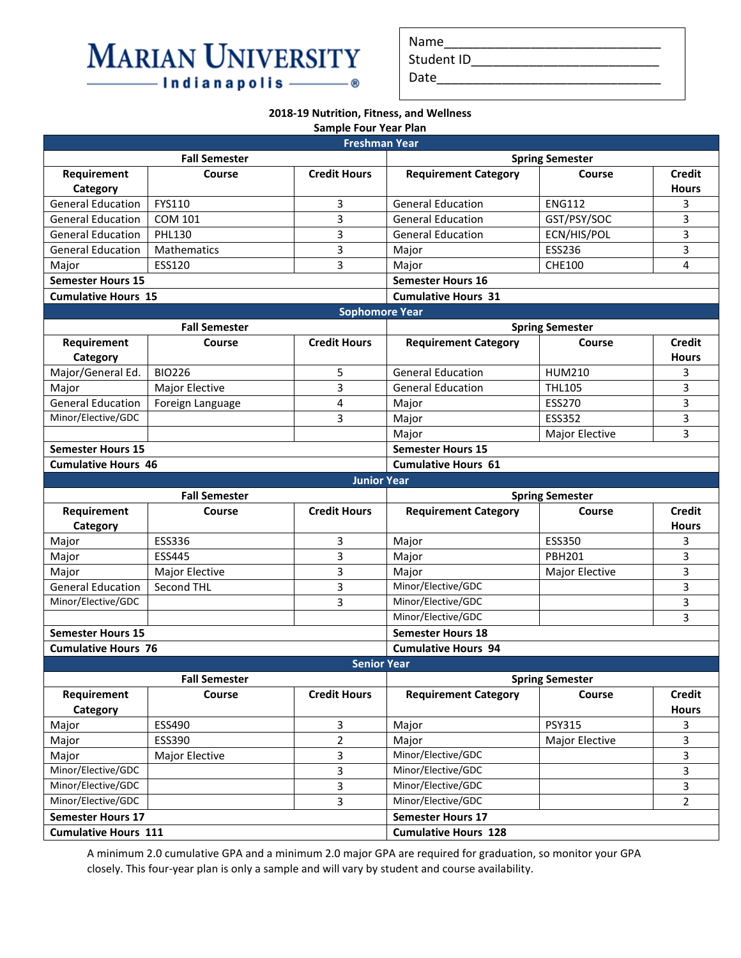## **MARIAN UNIVERSITY** - Indianapolis ——— – ®

| Name       |  |
|------------|--|
| Student ID |  |
| Date       |  |
|            |  |

## **2018-19 Nutrition, Fitness, and Wellness**

|                            |                      | <b>Sample Four Year Plan</b> |                             |                        |                               |
|----------------------------|----------------------|------------------------------|-----------------------------|------------------------|-------------------------------|
|                            |                      | <b>Freshman Year</b>         |                             |                        |                               |
|                            | <b>Fall Semester</b> |                              |                             | <b>Spring Semester</b> |                               |
| Requirement<br>Category    | Course               | <b>Credit Hours</b>          | <b>Requirement Category</b> | Course                 | <b>Credit</b><br><b>Hours</b> |
| <b>General Education</b>   | FYS110               | 3                            | <b>General Education</b>    | <b>ENG112</b>          | 3                             |
| <b>General Education</b>   | <b>COM 101</b>       | 3                            | <b>General Education</b>    | GST/PSY/SOC            | 3                             |
| <b>General Education</b>   | <b>PHL130</b>        | $\overline{3}$               | <b>General Education</b>    | ECN/HIS/POL            | 3                             |
| <b>General Education</b>   | <b>Mathematics</b>   | 3                            | Major                       | ESS236                 | 3                             |
| Major                      | ESS120               | 3                            | Major                       | <b>CHE100</b>          | $\overline{4}$                |
| <b>Semester Hours 15</b>   |                      |                              | <b>Semester Hours 16</b>    |                        |                               |
| <b>Cumulative Hours 15</b> |                      |                              | <b>Cumulative Hours 31</b>  |                        |                               |
|                            |                      | <b>Sophomore Year</b>        |                             |                        |                               |
|                            | <b>Fall Semester</b> |                              |                             | <b>Spring Semester</b> |                               |
| Requirement<br>Category    | Course               | <b>Credit Hours</b>          | <b>Requirement Category</b> | Course                 | <b>Credit</b><br><b>Hours</b> |
| Major/General Ed.          | <b>BIO226</b>        | 5                            | <b>General Education</b>    | <b>HUM210</b>          | 3                             |
| Major                      | Major Elective       | 3                            | <b>General Education</b>    | <b>THL105</b>          | 3                             |
| <b>General Education</b>   | Foreign Language     | 4                            | Major                       | <b>ESS270</b>          | 3                             |
| Minor/Elective/GDC         |                      | 3                            | Major                       | <b>ESS352</b>          | 3                             |
|                            |                      |                              | Major                       | Major Elective         | 3                             |
| <b>Semester Hours 15</b>   |                      |                              | <b>Semester Hours 15</b>    |                        |                               |
| <b>Cumulative Hours 46</b> |                      |                              | <b>Cumulative Hours 61</b>  |                        |                               |
|                            |                      | <b>Junior Year</b>           |                             |                        |                               |
|                            | <b>Fall Semester</b> |                              |                             | <b>Spring Semester</b> |                               |
| Requirement<br>Category    | Course               | <b>Credit Hours</b>          | <b>Requirement Category</b> | Course                 | <b>Credit</b><br><b>Hours</b> |
| Major                      | ESS336               | 3                            | Major                       | <b>ESS350</b>          | 3                             |
| Major                      | <b>ESS445</b>        | 3                            | Major                       | <b>PBH201</b>          | 3                             |
| Major                      | Major Elective       | 3                            | Major                       | Major Elective         | 3                             |
| <b>General Education</b>   | Second THL           | 3                            | Minor/Elective/GDC          |                        | 3                             |
| Minor/Elective/GDC         |                      | 3                            | Minor/Elective/GDC          |                        | 3                             |
|                            |                      |                              | Minor/Elective/GDC          |                        | 3                             |
| <b>Semester Hours 15</b>   |                      |                              | <b>Semester Hours 18</b>    |                        |                               |
| <b>Cumulative Hours 76</b> |                      |                              | <b>Cumulative Hours 94</b>  |                        |                               |
|                            |                      | <b>Senior Year</b>           |                             |                        |                               |
|                            | <b>Fall Semester</b> |                              |                             | <b>Spring Semester</b> |                               |
| Requirement                | Course               | <b>Credit Hours</b>          | <b>Requirement Category</b> | Course                 | <b>Credit</b>                 |
| Category                   |                      |                              |                             |                        | <b>Hours</b>                  |
| Major                      | ESS490               | 3                            | Major                       | <b>PSY315</b>          | 3                             |
| Major                      | ESS390               | $\overline{2}$               | Major                       | Major Elective         | 3                             |
|                            |                      |                              |                             |                        |                               |
| Major                      | Major Elective       | 3                            | Minor/Elective/GDC          |                        | 3                             |
| Minor/Elective/GDC         |                      | 3                            | Minor/Elective/GDC          |                        | 3                             |
| Minor/Elective/GDC         |                      | $\overline{3}$               | Minor/Elective/GDC          |                        | $\overline{3}$                |
| Minor/Elective/GDC         |                      | $\overline{3}$               | Minor/Elective/GDC          |                        | $\overline{2}$                |
| <b>Semester Hours 17</b>   |                      |                              | <b>Semester Hours 17</b>    |                        |                               |

A minimum 2.0 cumulative GPA and a minimum 2.0 major GPA are required for graduation, so monitor your GPA closely. This four-year plan is only a sample and will vary by student and course availability.